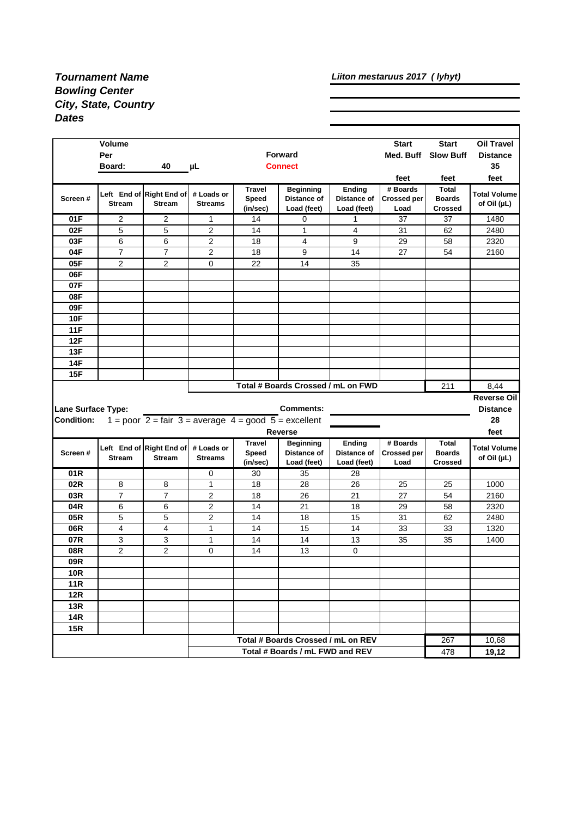## *Tournament Name Bowling Center City, State, Country Dates*

*Liiton mestaruus 2017 ( lyhyt)*

|                                                | <b>Volume</b><br>Per<br>Board: | 40                                                                                    | μL                           |                                    | <b>Forward</b><br><b>Connect</b>               |                                      | <b>Start</b><br>Med. Buff              | <b>Start</b><br><b>Slow Buff</b>         | <b>Oil Travel</b><br><b>Distance</b><br>35 |
|------------------------------------------------|--------------------------------|---------------------------------------------------------------------------------------|------------------------------|------------------------------------|------------------------------------------------|--------------------------------------|----------------------------------------|------------------------------------------|--------------------------------------------|
|                                                |                                |                                                                                       |                              |                                    |                                                |                                      | feet                                   | feet                                     | feet                                       |
| Screen#                                        | <b>Stream</b>                  | Left End of Right End of<br><b>Stream</b>                                             | # Loads or<br><b>Streams</b> | <b>Travel</b><br>Speed<br>(in/sec) | <b>Beginning</b><br>Distance of<br>Load (feet) | Ending<br>Distance of<br>Load (feet) | # Boards<br><b>Crossed per</b><br>Load | Total<br><b>Boards</b><br><b>Crossed</b> | <b>Total Volume</b><br>of Oil (µL)         |
| 01F                                            | 2                              | $\overline{2}$                                                                        | $\mathbf 1$                  | 14                                 | 0                                              | 1                                    | 37                                     | 37                                       | 1480                                       |
| 02F                                            | 5                              | 5                                                                                     | $\overline{2}$               | 14                                 | $\mathbf{1}$                                   | 4                                    | 31                                     | 62                                       | 2480                                       |
| 03F                                            | 6                              | 6                                                                                     | $\overline{2}$               | 18                                 | 4                                              | 9                                    | 29                                     | 58                                       | 2320                                       |
| 04F                                            | $\overline{7}$                 | 7                                                                                     | $\overline{2}$               | 18                                 | 9                                              | 14                                   | 27                                     | 54                                       | 2160                                       |
| 05F                                            | 2                              | 2                                                                                     | 0                            | 22                                 | 14                                             | 35                                   |                                        |                                          |                                            |
| 06F                                            |                                |                                                                                       |                              |                                    |                                                |                                      |                                        |                                          |                                            |
| 07F                                            |                                |                                                                                       |                              |                                    |                                                |                                      |                                        |                                          |                                            |
| 08F                                            |                                |                                                                                       |                              |                                    |                                                |                                      |                                        |                                          |                                            |
| 09F                                            |                                |                                                                                       |                              |                                    |                                                |                                      |                                        |                                          |                                            |
| <b>10F</b>                                     |                                |                                                                                       |                              |                                    |                                                |                                      |                                        |                                          |                                            |
| <b>11F</b>                                     |                                |                                                                                       |                              |                                    |                                                |                                      |                                        |                                          |                                            |
| 12F<br>13F                                     |                                |                                                                                       |                              |                                    |                                                |                                      |                                        |                                          |                                            |
| 14F                                            |                                |                                                                                       |                              |                                    |                                                |                                      |                                        |                                          |                                            |
|                                                |                                |                                                                                       |                              |                                    |                                                |                                      |                                        |                                          |                                            |
|                                                |                                |                                                                                       |                              |                                    |                                                |                                      |                                        |                                          |                                            |
| 15F                                            |                                |                                                                                       |                              |                                    |                                                |                                      |                                        |                                          |                                            |
|                                                |                                |                                                                                       |                              |                                    | Total # Boards Crossed / mL on FWD             |                                      |                                        | 211                                      | 8,44                                       |
|                                                |                                |                                                                                       |                              |                                    |                                                |                                      |                                        |                                          | <b>Reverse Oil</b>                         |
|                                                |                                |                                                                                       |                              |                                    | <b>Comments:</b>                               |                                      |                                        |                                          | <b>Distance</b><br>28                      |
|                                                |                                | 1 = poor $2 = \text{fair } 3 = \text{average } 4 = \text{good } 5 = \text{excellent}$ |                              |                                    |                                                |                                      |                                        |                                          |                                            |
|                                                |                                |                                                                                       |                              | <b>Travel</b>                      | <b>Reverse</b><br><b>Beginning</b>             | Ending                               | # Boards                               | Total                                    | feet                                       |
| Screen#                                        |                                | Left End of Right End of                                                              | # Loads or                   | Speed                              | Distance of                                    | Distance of                          | <b>Crossed per</b>                     | <b>Boards</b>                            | <b>Total Volume</b>                        |
|                                                | <b>Stream</b>                  | <b>Stream</b>                                                                         | <b>Streams</b>               | (in/sec)                           | Load (feet)                                    | Load (feet)                          | Load                                   | <b>Crossed</b>                           | of Oil (µL)                                |
| 01R                                            |                                |                                                                                       | 0                            | 30                                 | 35                                             | 28                                   |                                        |                                          |                                            |
| 02R                                            | 8                              | 8                                                                                     | 1                            | 18                                 | 28                                             | 26                                   | 25                                     | 25                                       | 1000                                       |
| 03R                                            | $\overline{7}$                 | $\overline{7}$                                                                        | 2                            | 18                                 | 26                                             | 21                                   | 27                                     | 54                                       | 2160                                       |
| 04R                                            | 6                              | 6                                                                                     | $\overline{2}$               | 14                                 | 21                                             | 18                                   | 29                                     | 58                                       | 2320                                       |
| 05R                                            | 5                              | 5                                                                                     | $\overline{2}$               | 14                                 | 18                                             | 15                                   | 31                                     | 62                                       | 2480                                       |
| 06R                                            | 4                              | 4                                                                                     | 1                            | 14                                 | 15                                             | 14                                   | 33                                     | 33                                       | 1320                                       |
| 07R                                            | 3                              | 3                                                                                     | $\mathbf{1}$                 | 14                                 | 14                                             | 13                                   | 35                                     | 35                                       | 1400                                       |
| 08R                                            | $\overline{2}$                 | 2                                                                                     | 0                            | 14                                 | 13                                             | 0                                    |                                        |                                          |                                            |
| 09R                                            |                                |                                                                                       |                              |                                    |                                                |                                      |                                        |                                          |                                            |
| <b>10R</b>                                     |                                |                                                                                       |                              |                                    |                                                |                                      |                                        |                                          |                                            |
| <b>11R</b>                                     |                                |                                                                                       |                              |                                    |                                                |                                      |                                        |                                          |                                            |
| 12R                                            |                                |                                                                                       |                              |                                    |                                                |                                      |                                        |                                          |                                            |
| 13R<br><b>14R</b>                              |                                |                                                                                       |                              |                                    |                                                |                                      |                                        |                                          |                                            |
| <b>15R</b>                                     |                                |                                                                                       |                              |                                    |                                                |                                      |                                        |                                          |                                            |
| <b>Lane Surface Type:</b><br><b>Condition:</b> |                                |                                                                                       |                              |                                    | Total # Boards Crossed / mL on REV             |                                      |                                        | 267                                      | 10,68                                      |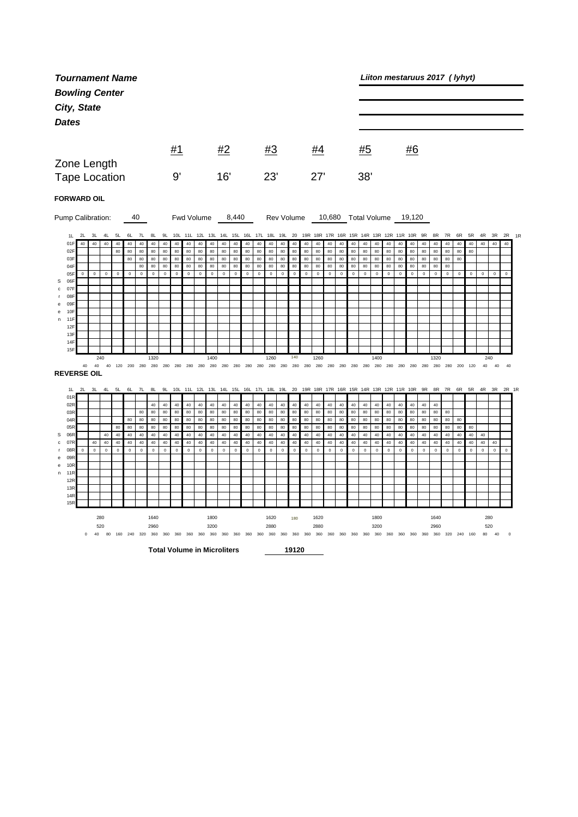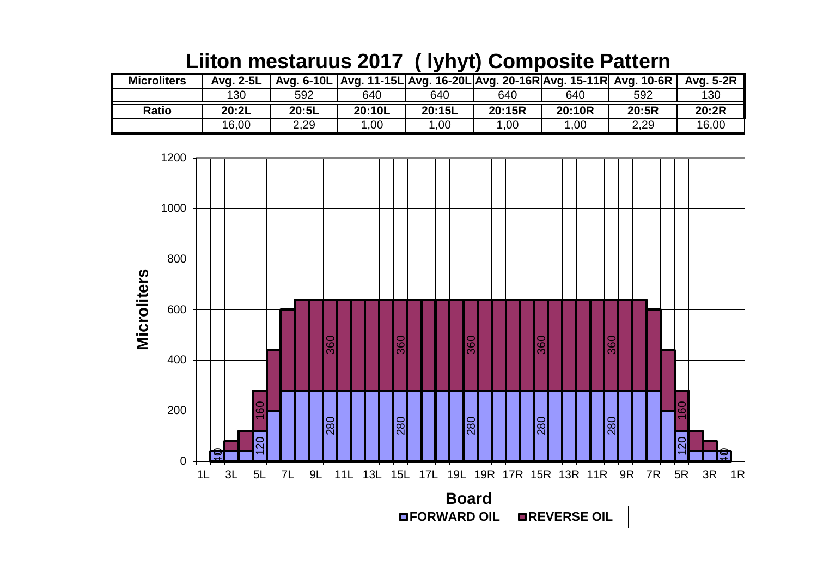| <b>Microliters</b> | Avg. 2-5L |       |        |        |        | Avg. 6-10L   Avg. 11-15L   Avg. 16-20L   Avg. 20-16R   Avg. 15-11R   Avg. 10-6R |       | Avg. 5-2R |
|--------------------|-----------|-------|--------|--------|--------|---------------------------------------------------------------------------------|-------|-----------|
|                    | 130       | 592   | 640    | 640    | 640    | 640                                                                             | 592   | 130       |
| <b>Ratio</b>       | 20:2L     | 20:5L | 20:10L | 20:15L | 20:15R | 20:10R                                                                          | 20:5R | 20:2R     |
|                    | 16,00     | 2,29  | 1,00   | 1,00   | 1,00   | 1,00                                                                            | 2,29  | 16,00     |

## **Liiton mestaruus 2017 ( lyhyt) Composite Pattern**